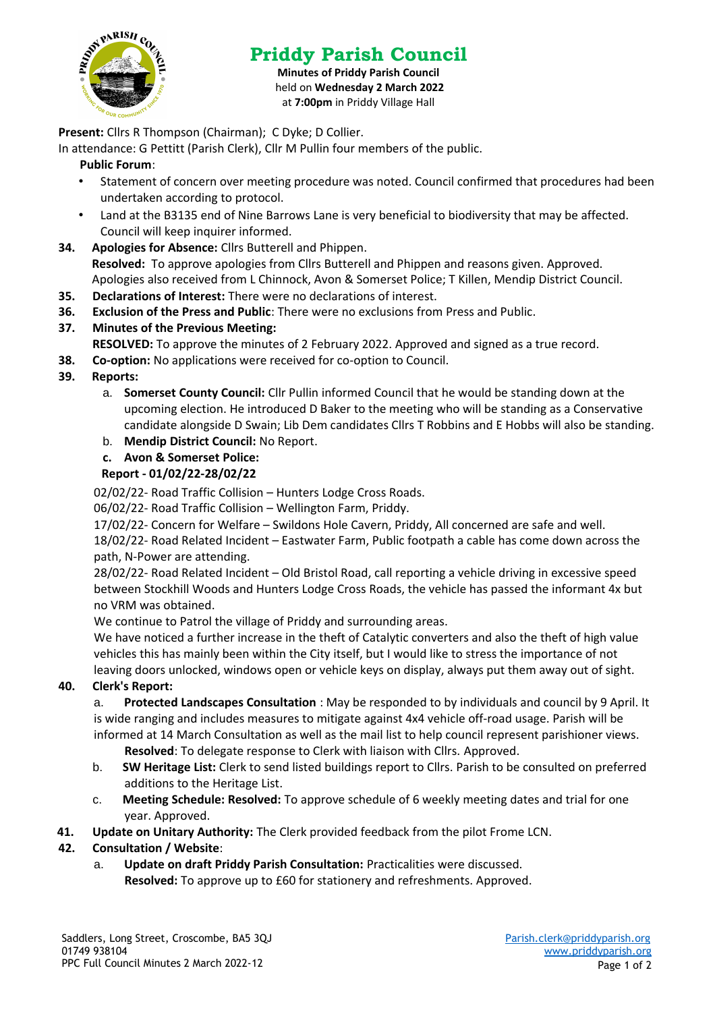

# **Priddy Parish Council**

**Minutes of Priddy Parish Council** held on **Wednesday 2 March 2022** at **7:00pm** in Priddy Village Hall

**Present:** Cllrs R Thompson (Chairman); C Dyke; D Collier.

In attendance: G Pettitt (Parish Clerk), Cllr M Pullin four members of the public.

### **Public Forum**:

- Statement of concern over meeting procedure was noted. Council confirmed that procedures had been undertaken according to protocol.
- Land at the B3135 end of Nine Barrows Lane is very beneficial to biodiversity that may be affected. Council will keep inquirer informed.
- **34. Apologies for Absence:** Cllrs Butterell and Phippen.
	- **Resolved:** To approve apologies from Cllrs Butterell and Phippen and reasons given. Approved. Apologies also received from L Chinnock, Avon & Somerset Police; T Killen, Mendip District Council.
- **35. Declarations of Interest:** There were no declarations of interest.
- **36. Exclusion of the Press and Public**: There were no exclusions from Press and Public.
- **37. Minutes of the Previous Meeting:**

**RESOLVED:** To approve the minutes of 2 February 2022. Approved and signed as a true record.

**38. Co-option:** No applications were received for co-option to Council.

## **39. Reports:**

- a. **Somerset County Council:** Cllr Pullin informed Council that he would be standing down at the upcoming election. He introduced D Baker to the meeting who will be standing as a Conservative candidate alongside D Swain; Lib Dem candidates Cllrs T Robbins and E Hobbs will also be standing.
- b. **Mendip District Council:** No Report.

## **c. Avon & Somerset Police:**

## **Report - 01/02/22-28/02/22**

02/02/22- Road Traffic Collision – Hunters Lodge Cross Roads.

06/02/22- Road Traffic Collision – Wellington Farm, Priddy.

17/02/22- Concern for Welfare – Swildons Hole Cavern, Priddy, All concerned are safe and well.

18/02/22- Road Related Incident – Eastwater Farm, Public footpath a cable has come down across the path, N-Power are attending.

28/02/22- Road Related Incident – Old Bristol Road, call reporting a vehicle driving in excessive speed between Stockhill Woods and Hunters Lodge Cross Roads, the vehicle has passed the informant 4x but no VRM was obtained.

We continue to Patrol the village of Priddy and surrounding areas.

We have noticed a further increase in the theft of Catalytic converters and also the theft of high value vehicles this has mainly been within the City itself, but I would like to stress the importance of not leaving doors unlocked, windows open or vehicle keys on display, always put them away out of sight.

#### **40. Clerk's Report:**

a. **Protected Landscapes Consultation** : May be responded to by individuals and council by 9 April. It is wide ranging and includes measures to mitigate against 4x4 vehicle off-road usage. Parish will be informed at 14 March Consultation as well as the mail list to help council represent parishioner views.

**Resolved**: To delegate response to Clerk with liaison with Cllrs. Approved.

- b. **SW Heritage List:** Clerk to send listed buildings report to Cllrs. Parish to be consulted on preferred additions to the Heritage List.
- c. **Meeting Schedule: Resolved:** To approve schedule of 6 weekly meeting dates and trial for one year. Approved.
- **41. Update on Unitary Authority:** The Clerk provided feedback from the pilot Frome LCN.

# **42. Consultation / Website**:

a. **Update on draft Priddy Parish Consultation:** Practicalities were discussed. **Resolved:** To approve up to £60 for stationery and refreshments. Approved.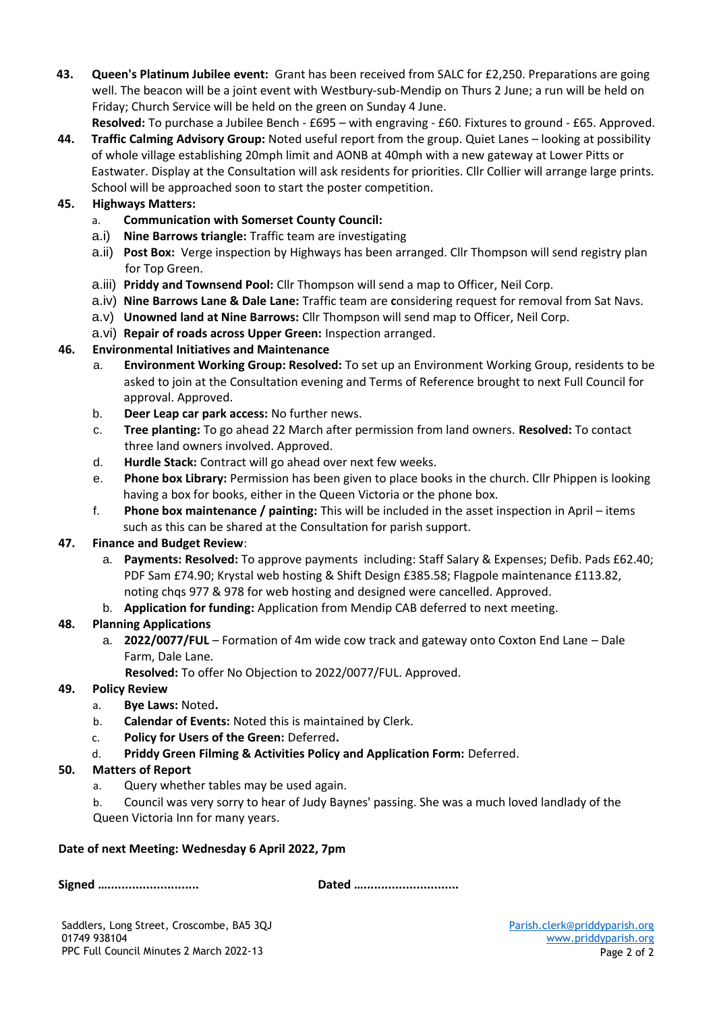**43. Queen's Platinum Jubilee event:** Grant has been received from SALC for £2,250. Preparations are going well. The beacon will be a joint event with Westbury-sub-Mendip on Thurs 2 June; a run will be held on Friday; Church Service will be held on the green on Sunday 4 June.

**Resolved:** To purchase a Jubilee Bench - £695 – with engraving - £60. Fixtures to ground - £65. Approved.

**44. Traffic Calming Advisory Group:** Noted useful report from the group. Quiet Lanes – looking at possibility of whole village establishing 20mph limit and AONB at 40mph with a new gateway at Lower Pitts or Eastwater. Display at the Consultation will ask residents for priorities. Cllr Collier will arrange large prints. School will be approached soon to start the poster competition.

## **45. Highways Matters:**

- a. **Communication with Somerset County Council:**
- a.i) **Nine Barrows triangle:** Traffic team are investigating
- a.ii) **Post Box:** Verge inspection by Highways has been arranged. Cllr Thompson will send registry plan for Top Green.
- a.iii) **Priddy and Townsend Pool:** Cllr Thompson will send a map to Officer, Neil Corp.
- a.iv) **Nine Barrows Lane & Dale Lane:** Traffic team are **c**onsidering request for removal from Sat Navs.
- a.v) **Unowned land at Nine Barrows:** Cllr Thompson will send map to Officer, Neil Corp.
- a.vi) **Repair of roads across Upper Green:** Inspection arranged.

## **46. Environmental Initiatives and Maintenance**

- a. **Environment Working Group: Resolved:** To set up an Environment Working Group, residents to be asked to join at the Consultation evening and Terms of Reference brought to next Full Council for approval. Approved.
- b. **Deer Leap car park access:** No further news.
- c. **Tree planting:** To go ahead 22 March after permission from land owners. **Resolved:** To contact three land owners involved. Approved.
- d. **Hurdle Stack:** Contract will go ahead over next few weeks.
- e. **Phone box Library:** Permission has been given to place books in the church. Cllr Phippen is looking having a box for books, either in the Queen Victoria or the phone box.
- f. **Phone box maintenance / painting:** This will be included in the asset inspection in April items such as this can be shared at the Consultation for parish support.

#### **47. Finance and Budget Review**:

- a. **Payments: Resolved:** To approve payments including: Staff Salary & Expenses; Defib. Pads £62.40; PDF Sam £74.90; Krystal web hosting & Shift Design £385.58; Flagpole maintenance £113.82, noting chqs 977 & 978 for web hosting and designed were cancelled. Approved.
- b. **Application for funding:** Application from Mendip CAB deferred to next meeting.

# **48. Planning Applications**

a. **2022/0077/FUL** – Formation of 4m wide cow track and gateway onto Coxton End Lane – Dale Farm, Dale Lane.

**Resolved:** To offer No Objection to 2022/0077/FUL. Approved.

#### **49. Policy Review**

- a. **Bye Laws:** Noted**.**
- b. **Calendar of Events:** Noted this is maintained by Clerk.
- c. **Policy for Users of the Green:** Deferred**.**
- d. **Priddy Green Filming & Activities Policy and Application Form:** Deferred.

#### **50. Matters of Report**

- a. Query whether tables may be used again.
- b. Council was very sorry to hear of Judy Baynes' passing. She was a much loved landlady of the Queen Victoria Inn for many years.

#### **Date of next Meeting: Wednesday 6 April 2022, 7pm**

**Signed ….......................... Dated …...........................**